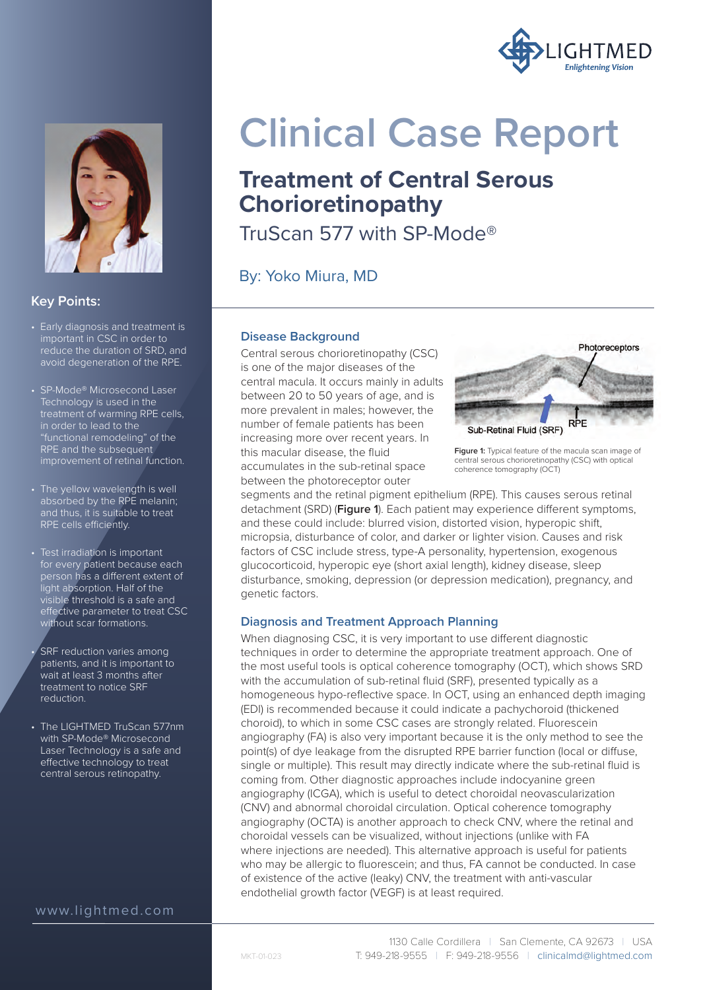



## **Key Points:**

- Early diagnosis and treatment is important in CSC in order to reduce the duration of SRD, and avoid degeneration of the RPE.
- SP-Mode® Microsecond Laser Technology is used in the treatment of warming RPE cells, in order to lead to the "functional remodeling" of the RPE and the subsequent improvement of retinal function.
- The yellow wavelength is well absorbed by the RPE melanin; and thus, it is suitable to treat RPE cells efficiently.
- Test irradiation is important for every patient because each person has a different extent of light absorption. Half of the visible threshold is a safe and effective parameter to treat CSC without scar formations.
- SRF reduction varies among patients, and it is important to wait at least 3 months after treatment to notice SRF reduction.
- The LIGHTMED TruScan 577nm with SP-Mode® Microsecond Laser Technology is a safe and effective technology to treat central serous retinopathy.

# www.lightmed.com

# **Clinical Case Report**

# **Treatment of Central Serous Chorioretinopathy**

TruScan 577 with SP-Mode®

By: Yoko Miura, MD

#### **Disease Background**

Central serous chorioretinopathy (CSC) is one of the major diseases of the central macula. It occurs mainly in adults between 20 to 50 years of age, and is more prevalent in males; however, the number of female patients has been increasing more over recent years. In this macular disease, the fluid accumulates in the sub-retinal space between the photoreceptor outer



**Figure 1:** Typical feature of the macula scan image of central serous chorioretinopathy (CSC) with optical coherence tomography (OCT)

segments and the retinal pigment epithelium (RPE). This causes serous retinal detachment (SRD) (**Figure 1**). Each patient may experience different symptoms, and these could include: blurred vision, distorted vision, hyperopic shift, micropsia, disturbance of color, and darker or lighter vision. Causes and risk factors of CSC include stress, type-A personality, hypertension, exogenous glucocorticoid, hyperopic eye (short axial length), kidney disease, sleep disturbance, smoking, depression (or depression medication), pregnancy, and genetic factors.

#### **Diagnosis and Treatment Approach Planning**

When diagnosing CSC, it is very important to use different diagnostic techniques in order to determine the appropriate treatment approach. One of the most useful tools is optical coherence tomography (OCT), which shows SRD with the accumulation of sub-retinal fluid (SRF), presented typically as a homogeneous hypo-reflective space. In OCT, using an enhanced depth imaging (EDI) is recommended because it could indicate a pachychoroid (thickened choroid), to which in some CSC cases are strongly related. Fluorescein angiography (FA) is also very important because it is the only method to see the point(s) of dye leakage from the disrupted RPE barrier function (local or diffuse, single or multiple). This result may directly indicate where the sub-retinal fluid is coming from. Other diagnostic approaches include indocyanine green angiography (ICGA), which is useful to detect choroidal neovascularization (CNV) and abnormal choroidal circulation. Optical coherence tomography angiography (OCTA) is another approach to check CNV, where the retinal and choroidal vessels can be visualized, without injections (unlike with FA where injections are needed). This alternative approach is useful for patients who may be allergic to fluorescein; and thus, FA cannot be conducted. In case of existence of the active (leaky) CNV, the treatment with anti-vascular endothelial growth factor (VEGF) is at least required.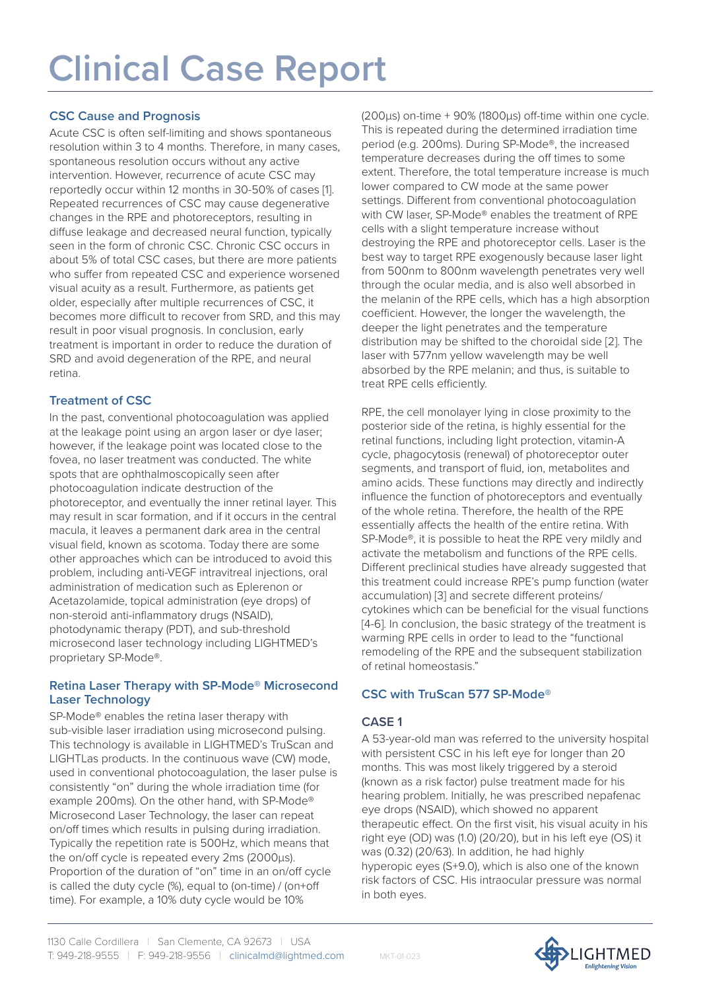# **CSC Cause and Prognosis**

Acute CSC is often self-limiting and shows spontaneous resolution within 3 to 4 months. Therefore, in many cases, spontaneous resolution occurs without any active intervention. However, recurrence of acute CSC may reportedly occur within 12 months in 30-50% of cases [1]. Repeated recurrences of CSC may cause degenerative changes in the RPE and photoreceptors, resulting in diffuse leakage and decreased neural function, typically seen in the form of chronic CSC. Chronic CSC occurs in about 5% of total CSC cases, but there are more patients who suffer from repeated CSC and experience worsened visual acuity as a result. Furthermore, as patients get older, especially after multiple recurrences of CSC, it becomes more difficult to recover from SRD, and this may result in poor visual prognosis. In conclusion, early treatment is important in order to reduce the duration of SRD and avoid degeneration of the RPE, and neural retina.

## **Treatment of CSC**

In the past, conventional photocoagulation was applied at the leakage point using an argon laser or dye laser; however, if the leakage point was located close to the fovea, no laser treatment was conducted. The white spots that are ophthalmoscopically seen after photocoagulation indicate destruction of the photoreceptor, and eventually the inner retinal layer. This may result in scar formation, and if it occurs in the central macula, it leaves a permanent dark area in the central visual field, known as scotoma. Today there are some other approaches which can be introduced to avoid this problem, including anti-VEGF intravitreal injections, oral administration of medication such as Eplerenon or Acetazolamide, topical administration (eye drops) of non-steroid anti-inflammatory drugs (NSAID), photodynamic therapy (PDT), and sub-threshold microsecond laser technology including LIGHTMED's proprietary SP-Mode®.

#### **Retina Laser Therapy with SP-Mode® Microsecond Laser Technology**

SP-Mode® enables the retina laser therapy with sub-visible laser irradiation using microsecond pulsing. This technology is available in LIGHTMED's TruScan and LIGHTLas products. In the continuous wave (CW) mode, used in conventional photocoagulation, the laser pulse is consistently "on" during the whole irradiation time (for example 200ms). On the other hand, with SP-Mode® Microsecond Laser Technology, the laser can repeat on/off times which results in pulsing during irradiation. Typically the repetition rate is 500Hz, which means that the on/off cycle is repeated every 2ms (2000μs). Proportion of the duration of "on" time in an on/off cycle is called the duty cycle (%), equal to (on-time) / (on+off time). For example, a 10% duty cycle would be 10%

(200 $\mu$ s) on-time + 90% (1800 $\mu$ s) off-time within one cycle. This is repeated during the determined irradiation time period (e.g. 200ms). During SP-Mode®, the increased temperature decreases during the off times to some extent. Therefore, the total temperature increase is much lower compared to CW mode at the same power settings. Different from conventional photocoagulation with CW laser, SP-Mode® enables the treatment of RPE cells with a slight temperature increase without destroying the RPE and photoreceptor cells. Laser is the best way to target RPE exogenously because laser light from 500nm to 800nm wavelength penetrates very well through the ocular media, and is also well absorbed in the melanin of the RPE cells, which has a high absorption coefficient. However, the longer the wavelength, the deeper the light penetrates and the temperature distribution may be shifted to the choroidal side [2]. The laser with 577nm yellow wavelength may be well absorbed by the RPE melanin; and thus, is suitable to treat RPE cells efficiently.

RPE, the cell monolayer lying in close proximity to the posterior side of the retina, is highly essential for the retinal functions, including light protection, vitamin-A cycle, phagocytosis (renewal) of photoreceptor outer segments, and transport of fluid, ion, metabolites and amino acids. These functions may directly and indirectly influence the function of photoreceptors and eventually of the whole retina. Therefore, the health of the RPE essentially affects the health of the entire retina. With SP-Mode®, it is possible to heat the RPE very mildly and activate the metabolism and functions of the RPE cells. Different preclinical studies have already suggested that this treatment could increase RPE's pump function (water accumulation) [3] and secrete different proteins/ cytokines which can be beneficial for the visual functions [4-6]. In conclusion, the basic strategy of the treatment is warming RPE cells in order to lead to the "functional remodeling of the RPE and the subsequent stabilization of retinal homeostasis."

# **CSC with TruScan 577 SP-Mode®**

# **CASE 1**

A 53-year-old man was referred to the university hospital with persistent CSC in his left eye for longer than 20 months. This was most likely triggered by a steroid (known as a risk factor) pulse treatment made for his hearing problem. Initially, he was prescribed nepafenac eye drops (NSAID), which showed no apparent therapeutic effect. On the first visit, his visual acuity in his right eye (OD) was (1.0) (20/20), but in his left eye (OS) it was (0.32) (20/63). In addition, he had highly hyperopic eyes (S+9.0), which is also one of the known risk factors of CSC. His intraocular pressure was normal in both eyes.



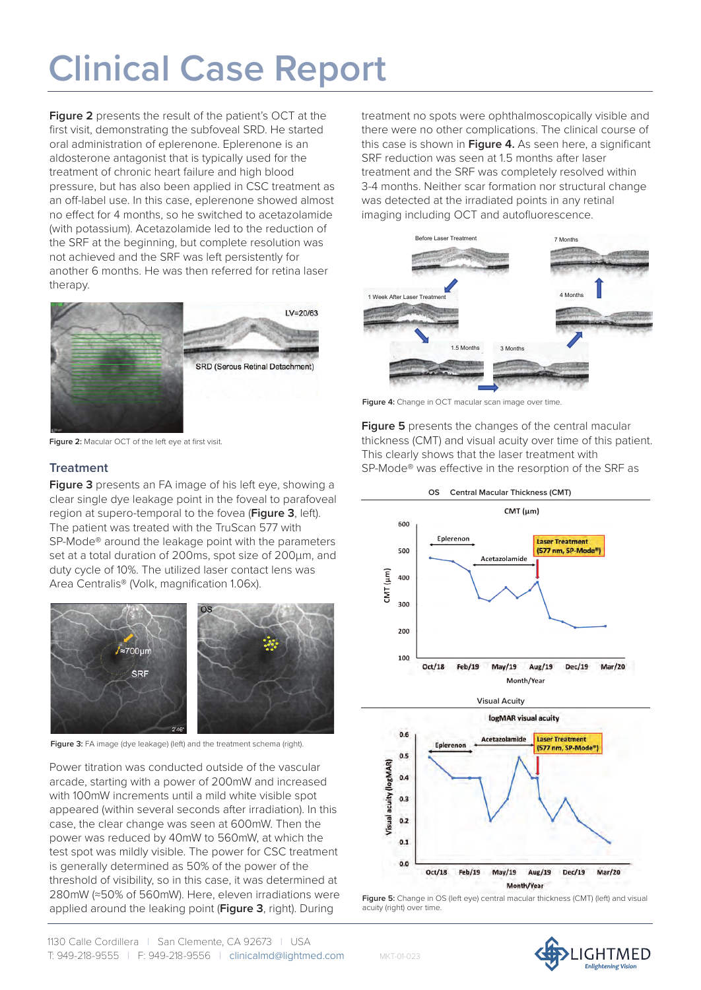**Figure 2** presents the result of the patient's OCT at the first visit, demonstrating the subfoveal SRD. He started oral administration of eplerenone. Eplerenone is an aldosterone antagonist that is typically used for the treatment of chronic heart failure and high blood pressure, but has also been applied in CSC treatment as an off-label use. In this case, eplerenone showed almost no effect for 4 months, so he switched to acetazolamide (with potassium). Acetazolamide led to the reduction of the SRF at the beginning, but complete resolution was not achieved and the SRF was left persistently for another 6 months. He was then referred for retina laser therapy.



**Figure 2:** Macular OCT of the left eye at first visit.

## **Treatment**

**Figure 3** presents an FA image of his left eye, showing a clear single dye leakage point in the foveal to parafoveal region at supero-temporal to the fovea (**Figure 3**, left). The patient was treated with the TruScan 577 with SP-Mode® around the leakage point with the parameters set at a total duration of 200ms, spot size of 200μm, and duty cycle of 10%. The utilized laser contact lens was Area Centralis® (Volk, magnification 1.06x).



**Figure 3:** FA image (dye leakage) (left) and the treatment schema (right).

Power titration was conducted outside of the vascular arcade, starting with a power of 200mW and increased with 100mW increments until a mild white visible spot appeared (within several seconds after irradiation). In this case, the clear change was seen at 600mW. Then the power was reduced by 40mW to 560mW, at which the test spot was mildly visible. The power for CSC treatment is generally determined as 50% of the power of the threshold of visibility, so in this case, it was determined at 280mW (≈50% of 560mW). Here, eleven irradiations were applied around the leaking point (**Figure 3**, right). During

treatment no spots were ophthalmoscopically visible and there were no other complications. The clinical course of this case is shown in **Figure 4.** As seen here, a significant SRF reduction was seen at 1.5 months after laser treatment and the SRF was completely resolved within 3-4 months. Neither scar formation nor structural change was detected at the irradiated points in any retinal imaging including OCT and autofluorescence.



Figure 4: Change in OCT macular scan image over time.

**Figure 5** presents the changes of the central macular thickness (CMT) and visual acuity over time of this patient. This clearly shows that the laser treatment with SP-Mode® was effective in the resorption of the SRF as





MKT-01-023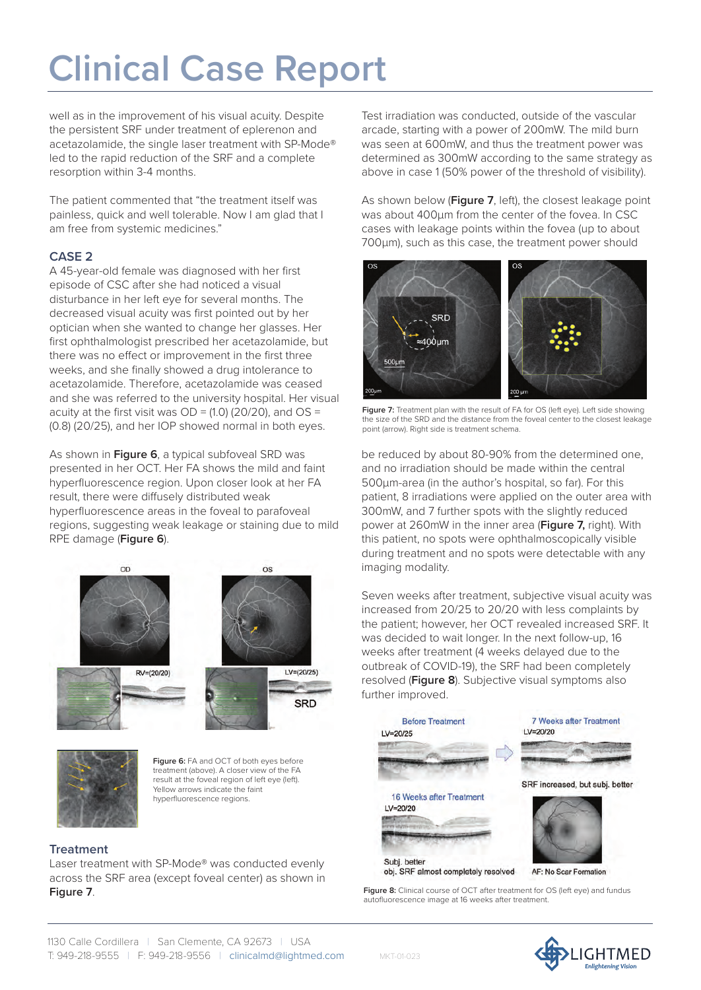well as in the improvement of his visual acuity. Despite the persistent SRF under treatment of eplerenon and acetazolamide, the single laser treatment with SP-Mode® led to the rapid reduction of the SRF and a complete resorption within 3-4 months.

The patient commented that "the treatment itself was painless, quick and well tolerable. Now I am glad that I am free from systemic medicines."

## **CASE 2**

A 45-year-old female was diagnosed with her first episode of CSC after she had noticed a visual disturbance in her left eye for several months. The decreased visual acuity was first pointed out by her optician when she wanted to change her glasses. Her first ophthalmologist prescribed her acetazolamide, but there was no effect or improvement in the first three weeks, and she finally showed a drug intolerance to acetazolamide. Therefore, acetazolamide was ceased and she was referred to the university hospital. Her visual acuity at the first visit was  $OD = (1.0)$  (20/20), and  $OS =$ (0.8) (20/25), and her IOP showed normal in both eyes.

As shown in **Figure 6**, a typical subfoveal SRD was presented in her OCT. Her FA shows the mild and faint hyperfluorescence region. Upon closer look at her FA result, there were diffusely distributed weak hyperfluorescence areas in the foveal to parafoveal regions, suggesting weak leakage or staining due to mild RPE damage (**Figure 6**).





**Figure 6:** FA and OCT of both eyes before treatment (above). A closer view of the FA result at the foveal region of left eye (left). Yellow arrows indicate the faint hyperfluorescence regions.

## **Treatment**

Laser treatment with SP-Mode® was conducted evenly across the SRF area (except foveal center) as shown in **Figure 7**.

Test irradiation was conducted, outside of the vascular arcade, starting with a power of 200mW. The mild burn was seen at 600mW, and thus the treatment power was determined as 300mW according to the same strategy as above in case 1 (50% power of the threshold of visibility).

As shown below (**Figure 7**, left), the closest leakage point was about 400μm from the center of the fovea. In CSC cases with leakage points within the fovea (up to about 700μm), such as this case, the treatment power should



**Figure 7:** Treatment plan with the result of FA for OS (left eye). Left side showing the size of the SRD and the distance from the foveal center to the closest leakage point (arrow). Right side is treatment schema.

be reduced by about 80-90% from the determined one, and no irradiation should be made within the central 500μm-area (in the author's hospital, so far). For this patient, 8 irradiations were applied on the outer area with 300mW, and 7 further spots with the slightly reduced power at 260mW in the inner area (**Figure 7,** right). With this patient, no spots were ophthalmoscopically visible during treatment and no spots were detectable with any imaging modality.

Seven weeks after treatment, subjective visual acuity was increased from 20/25 to 20/20 with less complaints by the patient; however, her OCT revealed increased SRF. It was decided to wait longer. In the next follow-up, 16 weeks after treatment (4 weeks delayed due to the outbreak of COVID-19), the SRF had been completely resolved (**Figure 8**). Subjective visual symptoms also further improved.



Figure 8: Clinical course of OCT after treatment for OS (left eye) and fundus autofluorescence image at 16 weeks after treatment.